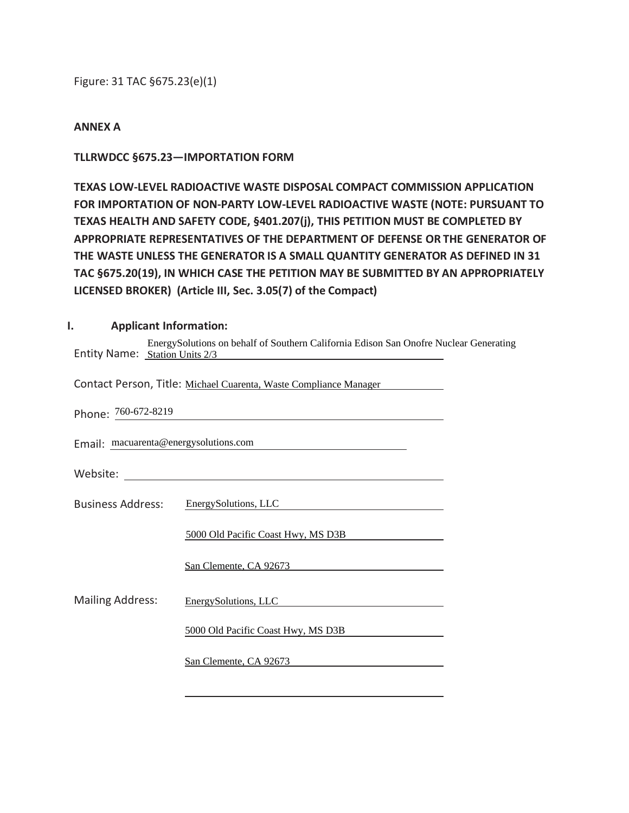Figure: 31 TAC §675.23(e)(1)

#### **ANNEX A**

### **TLLRWDCC §675.23—IMPORTATION FORM**

**TEXAS LOW-LEVEL RADIOACTIVE WASTE DISPOSAL COMPACT COMMISSION APPLICATION FOR IMPORTATION OF NON-PARTY LOW-LEVEL RADIOACTIVE WASTE (NOTE: PURSUANT TO TEXAS HEALTH AND SAFETY CODE, §401.207(j), THIS PETITION MUST BE COMPLETED BY APPROPRIATE REPRESENTATIVES OF THE DEPARTMENT OF DEFENSE OR THE GENERATOR OF THE WASTE UNLESS THE GENERATOR IS A SMALL QUANTITY GENERATOR AS DEFINED IN 31 TAC §675.20(19), IN WHICH CASE THE PETITION MAY BE SUBMITTED BY AN APPROPRIATELY LICENSED BROKER) (Article III, Sec. 3.05(7) of the Compact)** 

#### **I. Applicant Information:**

| EnergySolutions on behalf of Southern California Edison San Onofre Nuclear Generating<br>Entity Name: Station Units 2/3 |                                                                            |
|-------------------------------------------------------------------------------------------------------------------------|----------------------------------------------------------------------------|
| Contact Person, Title: Michael Cuarenta, Waste Compliance Manager                                                       |                                                                            |
| Phone: 760-672-8219                                                                                                     |                                                                            |
| Email: macuarenta@energysolutions.com                                                                                   |                                                                            |
|                                                                                                                         |                                                                            |
|                                                                                                                         | Business Address: EnergySolutions, LLC                                     |
|                                                                                                                         | 5000 Old Pacific Coast Hwy, MS D3B                                         |
|                                                                                                                         | San Clemente, CA 92673                                                     |
| <b>Mailing Address:</b>                                                                                                 | EnergySolutions, LLC<br><u> 1989 - John Stein, Amerikaansk politiker (</u> |
|                                                                                                                         | 5000 Old Pacific Coast Hwy, MS D3B                                         |
|                                                                                                                         | San Clemente, CA 92673                                                     |
|                                                                                                                         |                                                                            |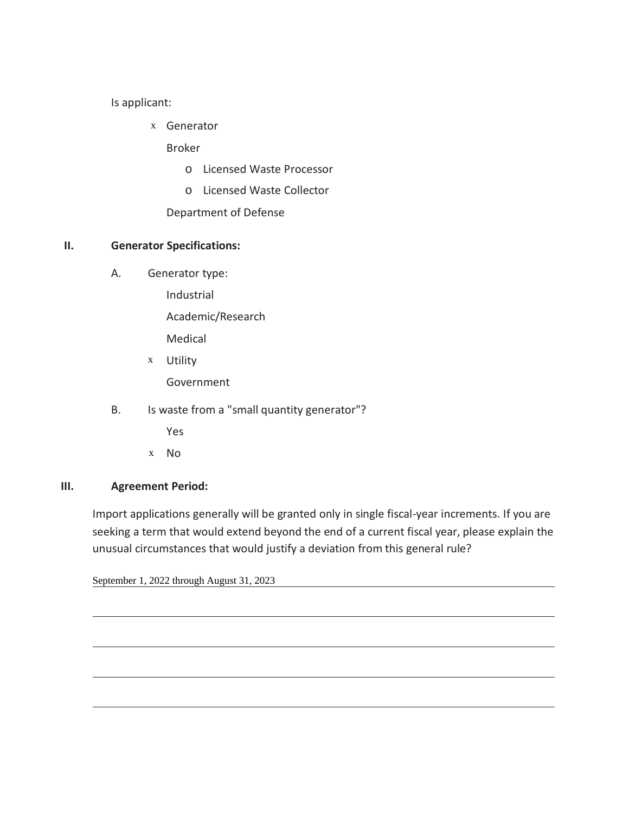Is applicant:

Generator x

Broker

- o Licensed Waste Processor
- o Licensed Waste Collector

Department of Defense

### **II. Generator Specifications:**

A. Generator type:

Industrial

Academic/Research

Medical

- Utility x Government
- B. Is waste from a "small quantity generator"?

Yes

No x

### **III. Agreement Period:**

 $\overline{a}$ 

Import applications generally will be granted only in single fiscal-year increments. If you are seeking a term that would extend beyond the end of a current fiscal year, please explain the unusual circumstances that would justify a deviation from this general rule?

September 1, 2022 through August 31, 2023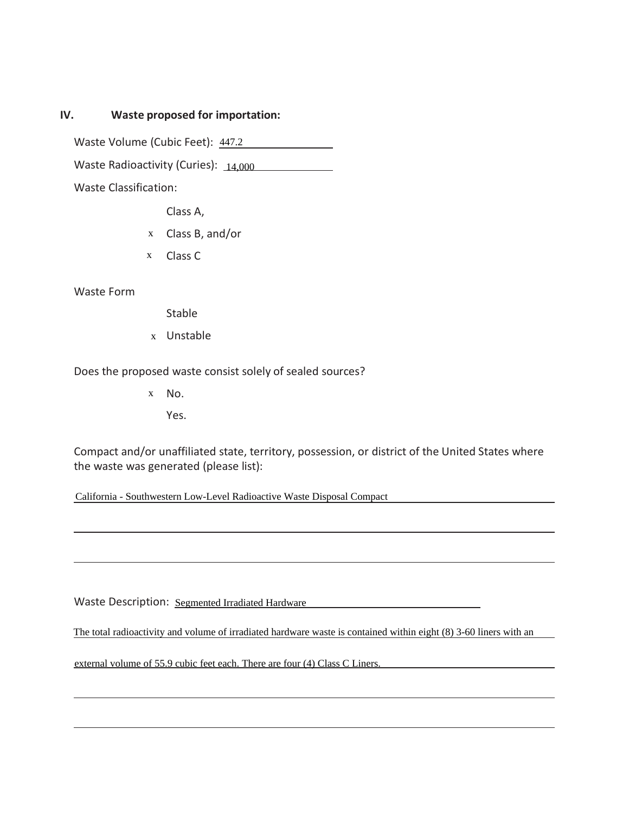### **IV. Waste proposed for importation:**

Waste Volume (Cubic Feet): 447.2

Waste Volume (Cubic Feet): 147.2<br>Waste Radioactivity (Curies): 14,000

Waste Classification:

Class A,

- Class B, and/or x
- Class C x

Waste Form

Stable

Unstable x

Does the proposed waste consist solely of sealed sources?

x No.

Yes.

Compact and/or unaffiliated state, territory, possession, or district of the United States where the waste was generated (please list): X No.<br>
Yes.<br>
Compact and/or unaffiliated state, territory, possession, or district of the United States where<br>
the waste was generated (please list):<br>
Califomia - Southwestem Low-Level Radioactive Waste Disposal Compact<br>
T

California - Southwestern Low-Level Radioactive Waste Disposal Compact

Waste Description: Segmented Irradiated Hardware

The total radioactivity and volume of irradiated hardware waste is contained within eight (8) 3-60 liners with an

external volume of 55.9 cubic feet each. There are four (4) Class C Liners.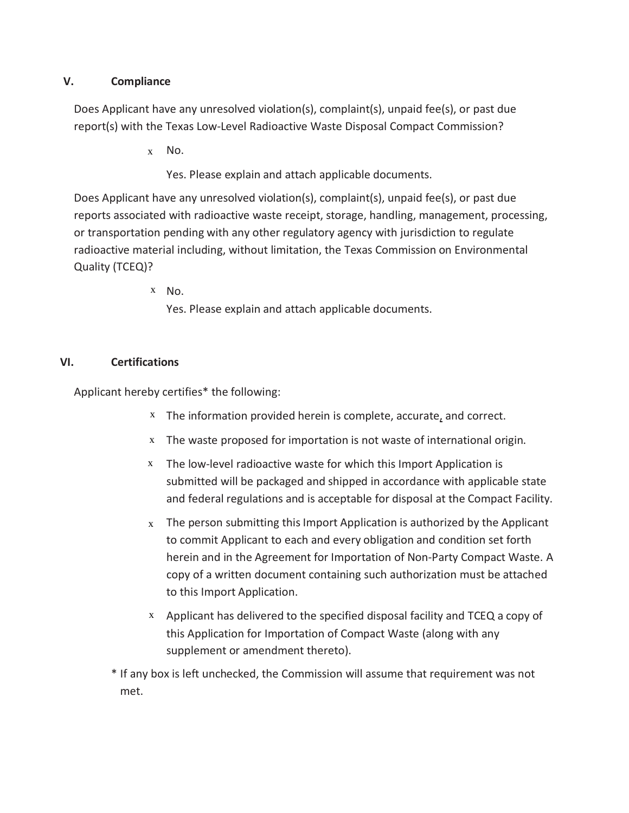## **V. Compliance**

Does Applicant have any unresolved violation(s), complaint(s), unpaid fee(s), or past due report(s) with the Texas Low-Level Radioactive Waste Disposal Compact Commission?

x No.

Yes. Please explain and attach applicable documents.

Does Applicant have any unresolved violation(s), complaint(s), unpaid fee(s), or past due reports associated with radioactive waste receipt, storage, handling, management, processing, or transportation pending with any other regulatory agency with jurisdiction to regulate radioactive material including, without limitation, the Texas Commission on Environmental Quality (TCEQ)?

x No.

Yes. Please explain and attach applicable documents.

## **VI. Certifications**

Applicant hereby certifies\* the following:

- The information provided herein is complete, accurate, and correct. x
- The waste proposed for importation is not waste of international origin. x
- The low-level radioactive waste for which this Import Application is submitted will be packaged and shipped in accordance with applicable state and federal regulations and is acceptable for disposal at the Compact Facility. x
- $x$  The person submitting this Import Application is authorized by the Applicant to commit Applicant to each and every obligation and condition set forth herein and in the Agreement for Importation of Non-Party Compact Waste. A copy of a written document containing such authorization must be attached to this Import Application.
- $x$  Applicant has delivered to the specified disposal facility and TCEQ a copy of this Application for Importation of Compact Waste (along with any supplement or amendment thereto).
- \* If any box is left unchecked, the Commission will assume that requirement was not met.